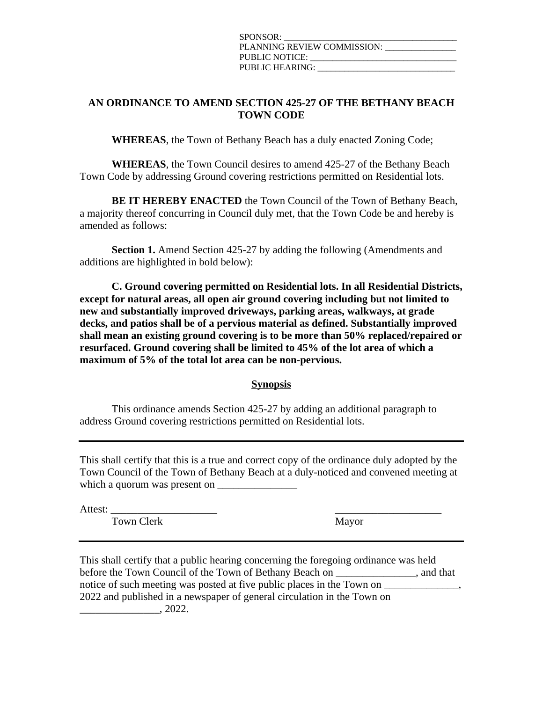| SPONSOR:                    |
|-----------------------------|
| PLANNING REVIEW COMMISSION: |
| PUBLIC NOTICE:              |
| PUBLIC HEARING:             |

## **AN ORDINANCE TO AMEND SECTION 425-27 OF THE BETHANY BEACH TOWN CODE**

**WHEREAS**, the Town of Bethany Beach has a duly enacted Zoning Code;

**WHEREAS**, the Town Council desires to amend 425-27 of the Bethany Beach Town Code by addressing Ground covering restrictions permitted on Residential lots.

**BE IT HEREBY ENACTED** the Town Council of the Town of Bethany Beach, a majority thereof concurring in Council duly met, that the Town Code be and hereby is amended as follows:

**Section 1.** Amend Section 425-27 by adding the following (Amendments and additions are highlighted in bold below):

**C. Ground covering permitted on Residential lots. In all Residential Districts, except for natural areas, all open air ground covering including but not limited to new and substantially improved driveways, parking areas, walkways, at grade decks, and patios shall be of a pervious material as defined. Substantially improved shall mean an existing ground covering is to be more than 50% replaced/repaired or resurfaced. Ground covering shall be limited to 45% of the lot area of which a maximum of 5% of the total lot area can be non-pervious.**

**Synopsis**

This ordinance amends Section 425-27 by adding an additional paragraph to address Ground covering restrictions permitted on Residential lots.

This shall certify that this is a true and correct copy of the ordinance duly adopted by the Town Council of the Town of Bethany Beach at a duly-noticed and convened meeting at which a quorum was present on

Attest: \_\_\_\_\_\_\_\_\_\_\_\_\_\_\_\_\_\_\_\_ \_\_\_\_\_\_\_\_\_\_\_\_\_\_\_\_\_\_\_\_

Town Clerk Mayor

This shall certify that a public hearing concerning the foregoing ordinance was held before the Town Council of the Town of Bethany Beach on , and that notice of such meeting was posted at five public places in the Town on  $\_\_$ 2022 and published in a newspaper of general circulation in the Town on  $\frac{1}{2022}$ .